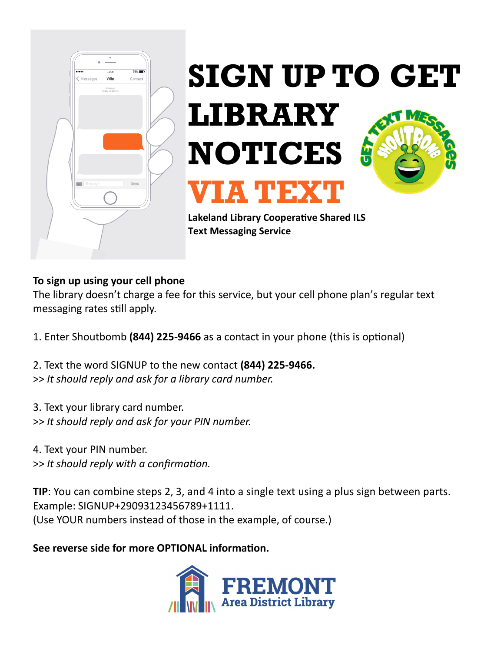



**Lakeland Library Cooperative Shared ILS Text Messaging Service**

### **To sign up using your cell phone**

The library doesn't charge a fee for this service, but your cell phone plan's regular text messaging rates still apply.

- 1. Enter Shoutbomb **(844) 225-9466** as a contact in your phone (this is optional)
- 2. Text the word SIGNUP to the new contact **(844) 225-9466.** >> *It should reply and ask for a library card number.*
- 3. Text your library card number.
- >> *It should reply and ask for your PIN number.*
- 4. Text your PIN number.
- >> *It should reply with a confirmation.*

**TIP**: You can combine steps 2, 3, and 4 into a single text using a plus sign between parts. Example: SIGNUP+29093123456789+1111. (Use YOUR numbers instead of those in the example, of course.)

# **See reverse side for more OPTIONAL information.**